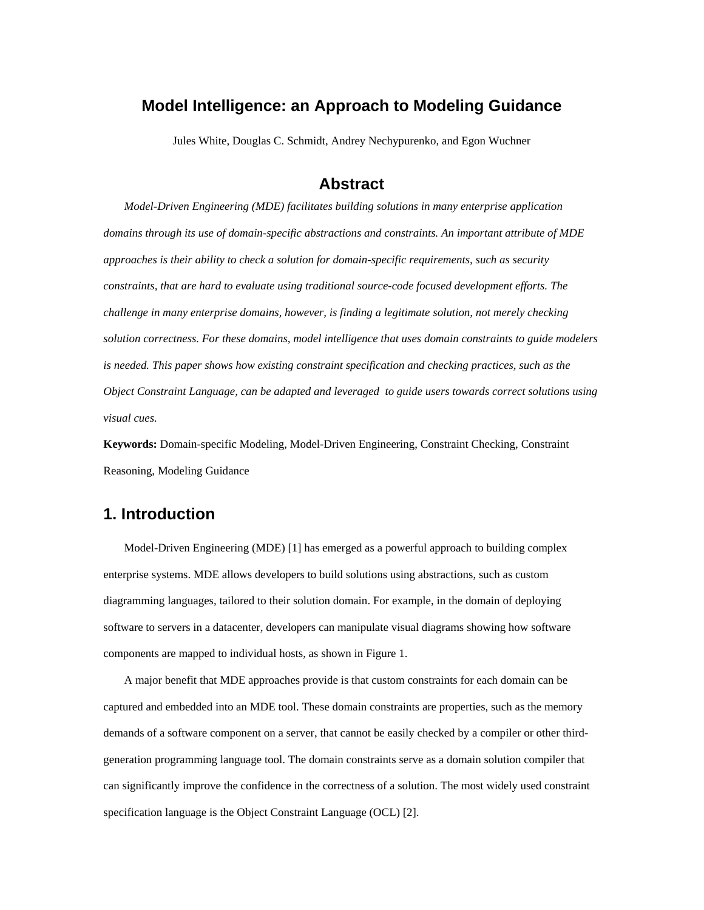## **Model Intelligence: an Approach to Modeling Guidance**

Jules White, Douglas C. Schmidt, Andrey Nechypurenko, and Egon Wuchner

### **Abstract**

*Model-Driven Engineering (MDE) facilitates building solutions in many enterprise application domains through its use of domain-specific abstractions and constraints. An important attribute of MDE approaches is their ability to check a solution for domain-specific requirements, such as security constraints, that are hard to evaluate using traditional source-code focused development efforts. The challenge in many enterprise domains, however, is finding a legitimate solution, not merely checking solution correctness. For these domains, model intelligence that uses domain constraints to guide modelers is needed. This paper shows how existing constraint specification and checking practices, such as the Object Constraint Language, can be adapted and leveraged to guide users towards correct solutions using visual cues.* 

**Keywords:** Domain-specific Modeling, Model-Driven Engineering, Constraint Checking, Constraint Reasoning, Modeling Guidance

## **1. Introduction**

Model-Driven Engineering (MDE) [1] has emerged as a powerful approach to building complex enterprise systems. MDE allows developers to build solutions using abstractions, such as custom diagramming languages, tailored to their solution domain. For example, in the domain of deploying software to servers in a datacenter, developers can manipulate visual diagrams showing how software components are mapped to individual hosts, as shown in Figure 1.

A major benefit that MDE approaches provide is that custom constraints for each domain can be captured and embedded into an MDE tool. These domain constraints are properties, such as the memory demands of a software component on a server, that cannot be easily checked by a compiler or other thirdgeneration programming language tool. The domain constraints serve as a domain solution compiler that can significantly improve the confidence in the correctness of a solution. The most widely used constraint specification language is the Object Constraint Language (OCL) [2].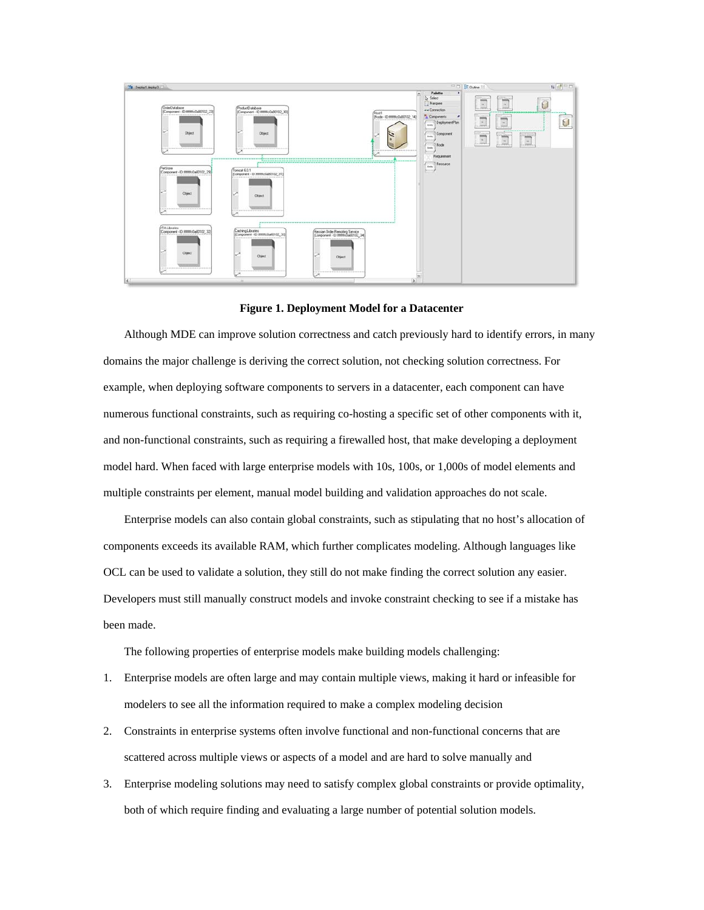

**Figure 1. Deployment Model for a Datacenter** 

Although MDE can improve solution correctness and catch previously hard to identify errors, in many domains the major challenge is deriving the correct solution, not checking solution correctness. For example, when deploying software components to servers in a datacenter, each component can have numerous functional constraints, such as requiring co-hosting a specific set of other components with it, and non-functional constraints, such as requiring a firewalled host, that make developing a deployment model hard. When faced with large enterprise models with 10s, 100s, or 1,000s of model elements and multiple constraints per element, manual model building and validation approaches do not scale.

Enterprise models can also contain global constraints, such as stipulating that no host's allocation of components exceeds its available RAM, which further complicates modeling. Although languages like OCL can be used to validate a solution, they still do not make finding the correct solution any easier. Developers must still manually construct models and invoke constraint checking to see if a mistake has been made.

The following properties of enterprise models make building models challenging:

- 1. Enterprise models are often large and may contain multiple views, making it hard or infeasible for modelers to see all the information required to make a complex modeling decision
- 2. Constraints in enterprise systems often involve functional and non-functional concerns that are scattered across multiple views or aspects of a model and are hard to solve manually and
- 3. Enterprise modeling solutions may need to satisfy complex global constraints or provide optimality, both of which require finding and evaluating a large number of potential solution models.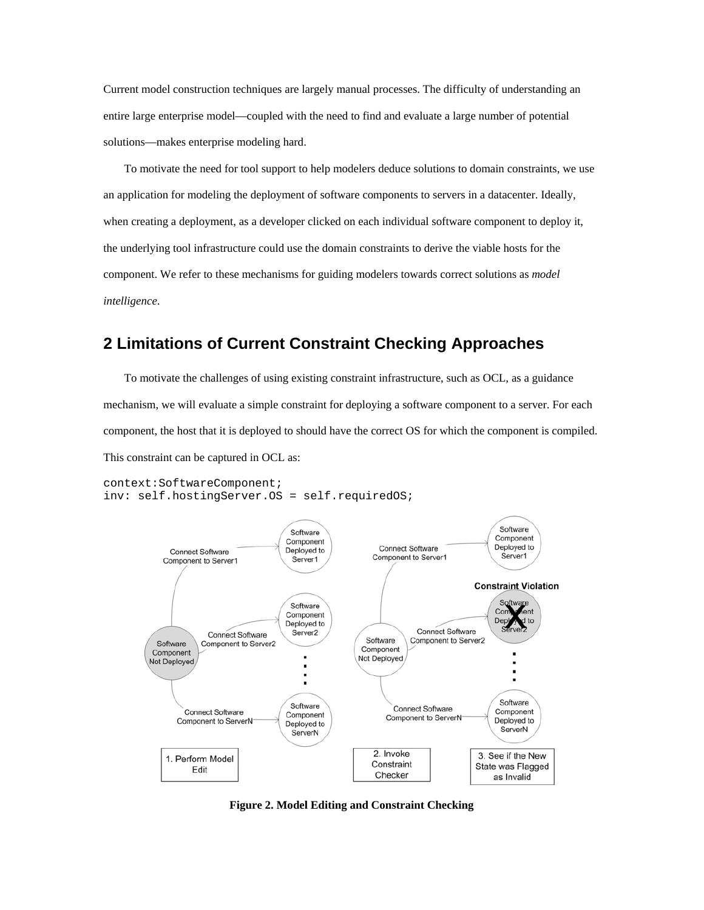Current model construction techniques are largely manual processes. The difficulty of understanding an entire large enterprise model—coupled with the need to find and evaluate a large number of potential solutions—makes enterprise modeling hard.

To motivate the need for tool support to help modelers deduce solutions to domain constraints, we use an application for modeling the deployment of software components to servers in a datacenter. Ideally, when creating a deployment, as a developer clicked on each individual software component to deploy it, the underlying tool infrastructure could use the domain constraints to derive the viable hosts for the component. We refer to these mechanisms for guiding modelers towards correct solutions as *model intelligence*.

# **2 Limitations of Current Constraint Checking Approaches**

To motivate the challenges of using existing constraint infrastructure, such as OCL, as a guidance mechanism, we will evaluate a simple constraint for deploying a software component to a server. For each component, the host that it is deployed to should have the correct OS for which the component is compiled. This constraint can be captured in OCL as:

```
context:SoftwareComponent; 
inv: self.hostingServer.OS = self.requiredOS;
```


**Figure 2. Model Editing and Constraint Checking**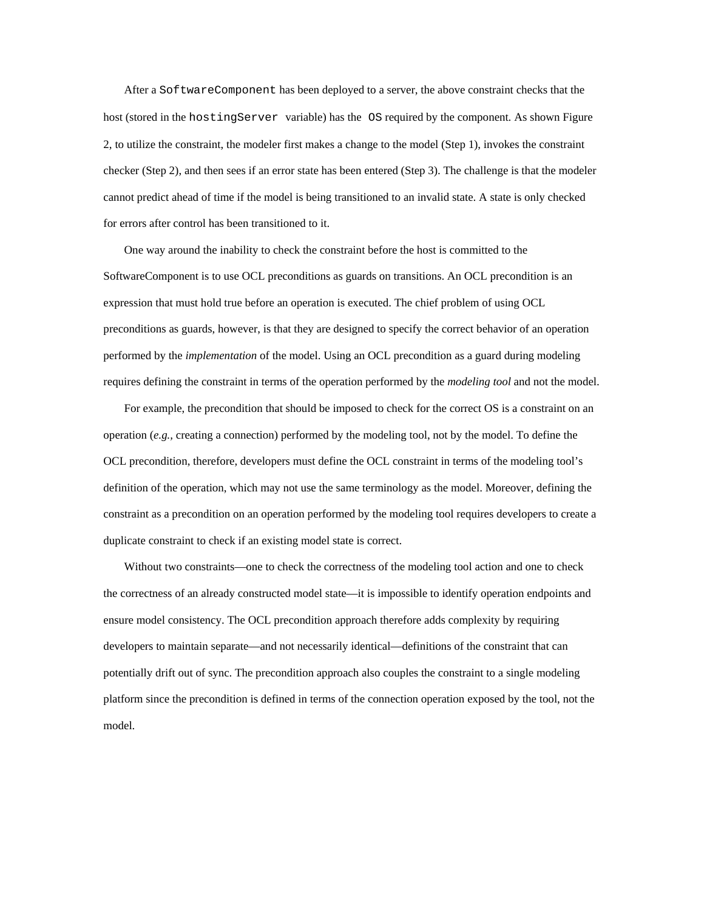After a SoftwareComponent has been deployed to a server, the above constraint checks that the host (stored in the hostingServer variable) has the OS required by the component. As shown Figure 2, to utilize the constraint, the modeler first makes a change to the model (Step 1), invokes the constraint checker (Step 2), and then sees if an error state has been entered (Step 3). The challenge is that the modeler cannot predict ahead of time if the model is being transitioned to an invalid state. A state is only checked for errors after control has been transitioned to it.

One way around the inability to check the constraint before the host is committed to the SoftwareComponent is to use OCL preconditions as guards on transitions. An OCL precondition is an expression that must hold true before an operation is executed. The chief problem of using OCL preconditions as guards, however, is that they are designed to specify the correct behavior of an operation performed by the *implementation* of the model. Using an OCL precondition as a guard during modeling requires defining the constraint in terms of the operation performed by the *modeling tool* and not the model.

For example, the precondition that should be imposed to check for the correct OS is a constraint on an operation (*e.g.,* creating a connection) performed by the modeling tool, not by the model. To define the OCL precondition, therefore, developers must define the OCL constraint in terms of the modeling tool's definition of the operation, which may not use the same terminology as the model. Moreover, defining the constraint as a precondition on an operation performed by the modeling tool requires developers to create a duplicate constraint to check if an existing model state is correct.

Without two constraints—one to check the correctness of the modeling tool action and one to check the correctness of an already constructed model state—it is impossible to identify operation endpoints and ensure model consistency. The OCL precondition approach therefore adds complexity by requiring developers to maintain separate—and not necessarily identical—definitions of the constraint that can potentially drift out of sync. The precondition approach also couples the constraint to a single modeling platform since the precondition is defined in terms of the connection operation exposed by the tool, not the model.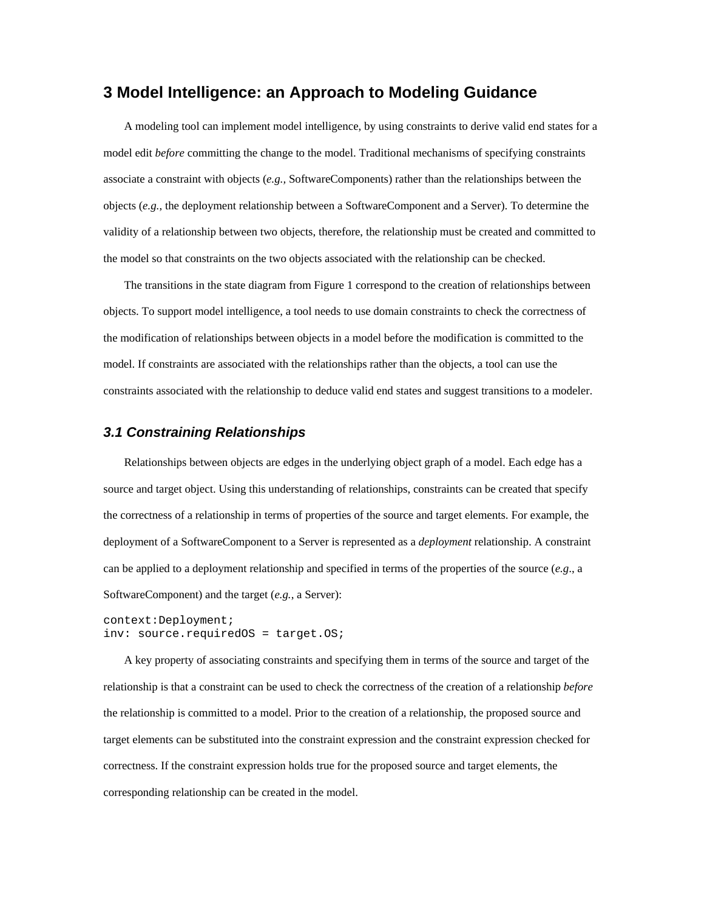## **3 Model Intelligence: an Approach to Modeling Guidance**

A modeling tool can implement model intelligence, by using constraints to derive valid end states for a model edit *before* committing the change to the model. Traditional mechanisms of specifying constraints associate a constraint with objects (*e.g.,* SoftwareComponents) rather than the relationships between the objects (*e.g.*, the deployment relationship between a SoftwareComponent and a Server). To determine the validity of a relationship between two objects, therefore, the relationship must be created and committed to the model so that constraints on the two objects associated with the relationship can be checked.

The transitions in the state diagram from Figure 1 correspond to the creation of relationships between objects. To support model intelligence, a tool needs to use domain constraints to check the correctness of the modification of relationships between objects in a model before the modification is committed to the model. If constraints are associated with the relationships rather than the objects, a tool can use the constraints associated with the relationship to deduce valid end states and suggest transitions to a modeler.

#### *3.1 Constraining Relationships*

Relationships between objects are edges in the underlying object graph of a model. Each edge has a source and target object. Using this understanding of relationships, constraints can be created that specify the correctness of a relationship in terms of properties of the source and target elements. For example, the deployment of a SoftwareComponent to a Server is represented as a *deployment* relationship. A constraint can be applied to a deployment relationship and specified in terms of the properties of the source (*e.g*., a SoftwareComponent) and the target (*e.g.*, a Server):

```
context:Deployment; 
inv: source.requiredOS = target.OS;
```
A key property of associating constraints and specifying them in terms of the source and target of the relationship is that a constraint can be used to check the correctness of the creation of a relationship *before* the relationship is committed to a model. Prior to the creation of a relationship, the proposed source and target elements can be substituted into the constraint expression and the constraint expression checked for correctness. If the constraint expression holds true for the proposed source and target elements, the corresponding relationship can be created in the model.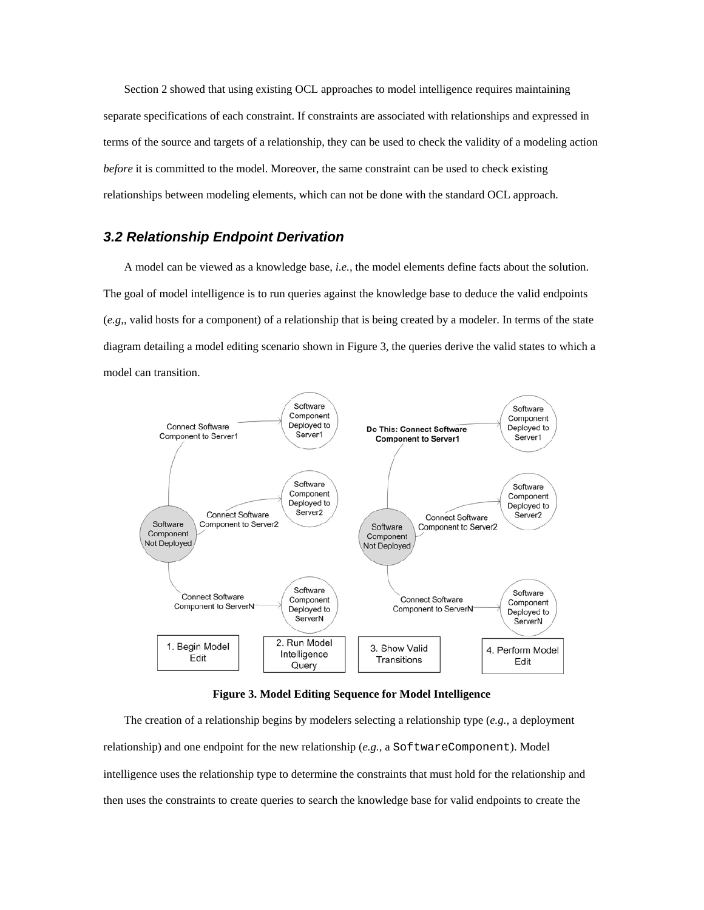Section 2 showed that using existing OCL approaches to model intelligence requires maintaining separate specifications of each constraint. If constraints are associated with relationships and expressed in terms of the source and targets of a relationship, they can be used to check the validity of a modeling action *before* it is committed to the model. Moreover, the same constraint can be used to check existing relationships between modeling elements, which can not be done with the standard OCL approach.

#### *3.2 Relationship Endpoint Derivation*

A model can be viewed as a knowledge base, *i.e.,* the model elements define facts about the solution. The goal of model intelligence is to run queries against the knowledge base to deduce the valid endpoints (*e.g,,* valid hosts for a component) of a relationship that is being created by a modeler. In terms of the state diagram detailing a model editing scenario shown in Figure 3, the queries derive the valid states to which a model can transition.



**Figure 3. Model Editing Sequence for Model Intelligence** 

The creation of a relationship begins by modelers selecting a relationship type (*e.g.,* a deployment relationship) and one endpoint for the new relationship (*e.g.,* a SoftwareComponent). Model intelligence uses the relationship type to determine the constraints that must hold for the relationship and then uses the constraints to create queries to search the knowledge base for valid endpoints to create the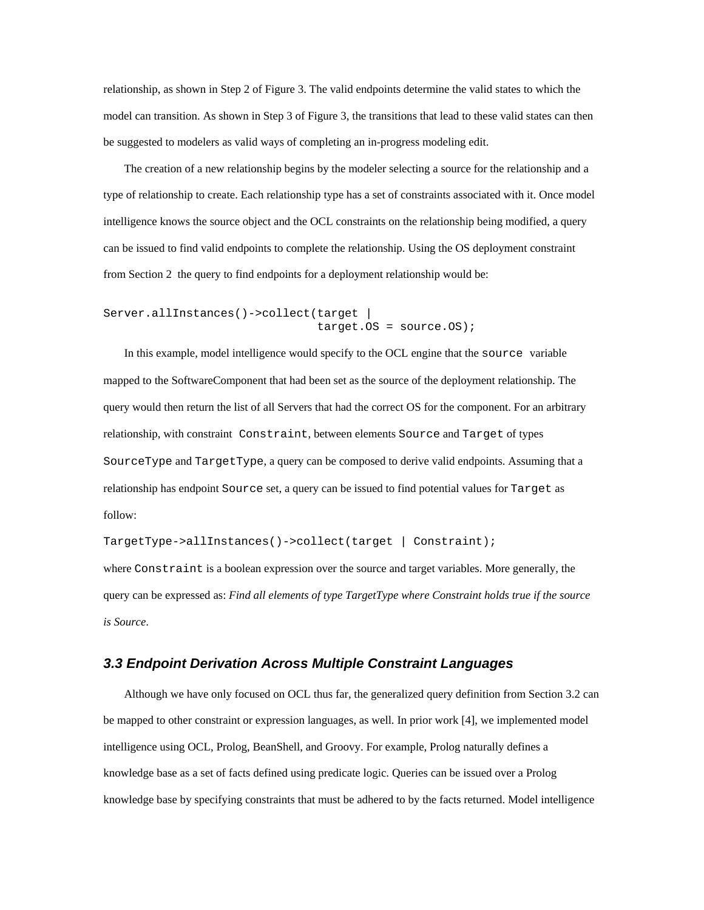relationship, as shown in Step 2 of Figure 3. The valid endpoints determine the valid states to which the model can transition. As shown in Step 3 of Figure 3, the transitions that lead to these valid states can then be suggested to modelers as valid ways of completing an in-progress modeling edit.

The creation of a new relationship begins by the modeler selecting a source for the relationship and a type of relationship to create. Each relationship type has a set of constraints associated with it. Once model intelligence knows the source object and the OCL constraints on the relationship being modified, a query can be issued to find valid endpoints to complete the relationship. Using the OS deployment constraint from Section 2 the query to find endpoints for a deployment relationship would be:

```
Server.allInstances()->collect(target | 
                              target.OS = source.OS;
```
In this example, model intelligence would specify to the OCL engine that the source variable mapped to the SoftwareComponent that had been set as the source of the deployment relationship. The query would then return the list of all Servers that had the correct OS for the component. For an arbitrary relationship, with constraint Constraint, between elements Source and Target of types SourceType and TargetType, a query can be composed to derive valid endpoints. Assuming that a relationship has endpoint Source set, a query can be issued to find potential values for Target as follow:

```
TargetType->allInstances()->collect(target | Constraint);
```
where Constraint is a boolean expression over the source and target variables. More generally, the query can be expressed as: *Find all elements of type TargetType where Constraint holds true if the source is Source*.

#### *3.3 Endpoint Derivation Across Multiple Constraint Languages*

Although we have only focused on OCL thus far, the generalized query definition from Section 3.2 can be mapped to other constraint or expression languages, as well. In prior work [4], we implemented model intelligence using OCL, Prolog, BeanShell, and Groovy. For example, Prolog naturally defines a knowledge base as a set of facts defined using predicate logic. Queries can be issued over a Prolog knowledge base by specifying constraints that must be adhered to by the facts returned. Model intelligence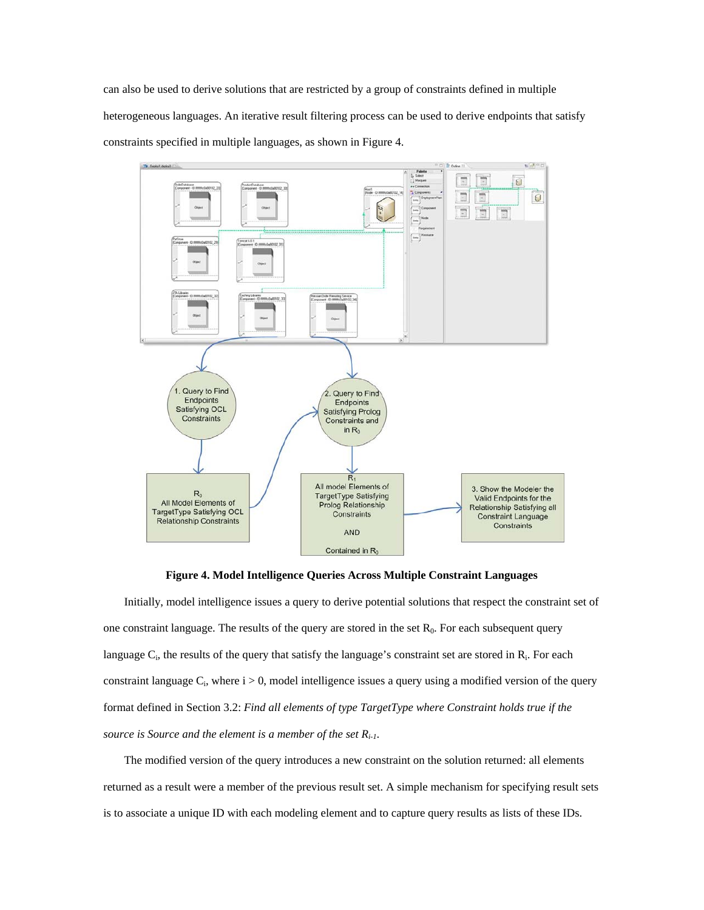can also be used to derive solutions that are restricted by a group of constraints defined in multiple heterogeneous languages. An iterative result filtering process can be used to derive endpoints that satisfy constraints specified in multiple languages, as shown in Figure 4.



**Figure 4. Model Intelligence Queries Across Multiple Constraint Languages** 

Initially, model intelligence issues a query to derive potential solutions that respect the constraint set of one constraint language. The results of the query are stored in the set  $R_0$ . For each subsequent query language  $C_i$ , the results of the query that satisfy the language's constraint set are stored in  $R_i$ . For each constraint language  $C_i$ , where  $i > 0$ , model intelligence issues a query using a modified version of the query format defined in Section 3.2: *Find all elements of type TargetType where Constraint holds true if the source is Source and the element is a member of the set Ri-1*.

The modified version of the query introduces a new constraint on the solution returned: all elements returned as a result were a member of the previous result set. A simple mechanism for specifying result sets is to associate a unique ID with each modeling element and to capture query results as lists of these IDs.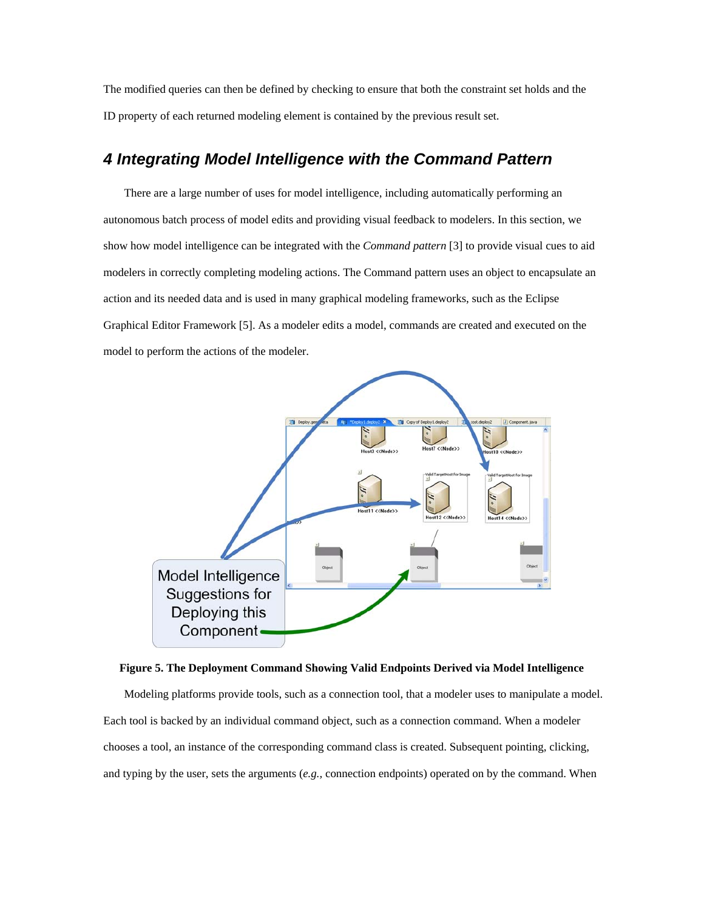The modified queries can then be defined by checking to ensure that both the constraint set holds and the ID property of each returned modeling element is contained by the previous result set.

## *4 Integrating Model Intelligence with the Command Pattern*

There are a large number of uses for model intelligence, including automatically performing an autonomous batch process of model edits and providing visual feedback to modelers. In this section, we show how model intelligence can be integrated with the *Command pattern* [3] to provide visual cues to aid modelers in correctly completing modeling actions. The Command pattern uses an object to encapsulate an action and its needed data and is used in many graphical modeling frameworks, such as the Eclipse Graphical Editor Framework [5]. As a modeler edits a model, commands are created and executed on the model to perform the actions of the modeler.



**Figure 5. The Deployment Command Showing Valid Endpoints Derived via Model Intelligence** 

Modeling platforms provide tools, such as a connection tool, that a modeler uses to manipulate a model. Each tool is backed by an individual command object, such as a connection command. When a modeler chooses a tool, an instance of the corresponding command class is created. Subsequent pointing, clicking, and typing by the user, sets the arguments (*e.g.,* connection endpoints) operated on by the command. When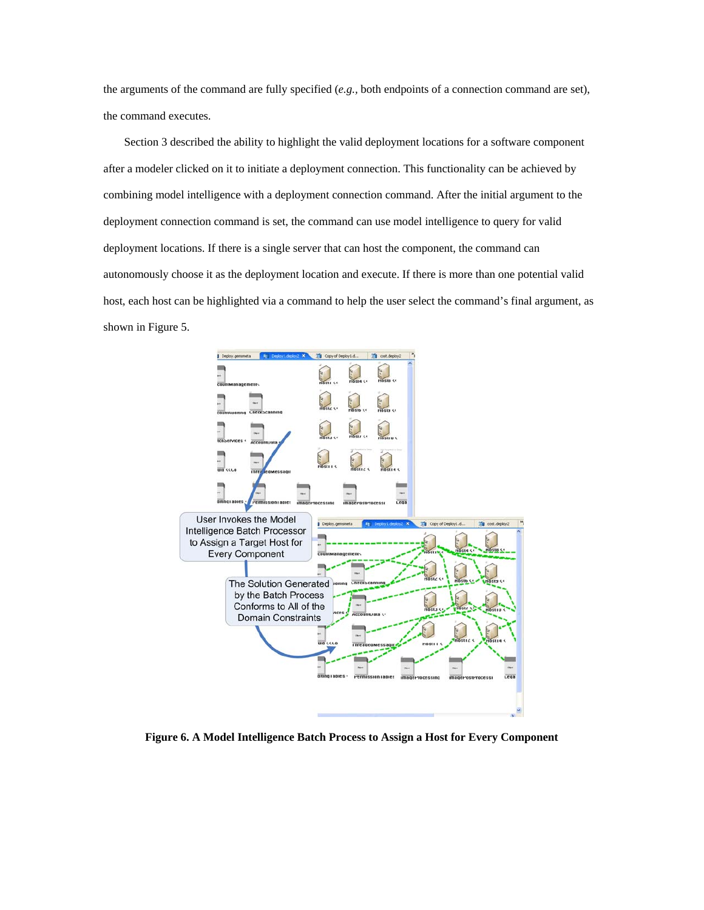the arguments of the command are fully specified (*e.g.,* both endpoints of a connection command are set), the command executes.

Section 3 described the ability to highlight the valid deployment locations for a software component after a modeler clicked on it to initiate a deployment connection. This functionality can be achieved by combining model intelligence with a deployment connection command. After the initial argument to the deployment connection command is set, the command can use model intelligence to query for valid deployment locations. If there is a single server that can host the component, the command can autonomously choose it as the deployment location and execute. If there is more than one potential valid host, each host can be highlighted via a command to help the user select the command's final argument, as shown in Figure 5.



**Figure 6. A Model Intelligence Batch Process to Assign a Host for Every Component**